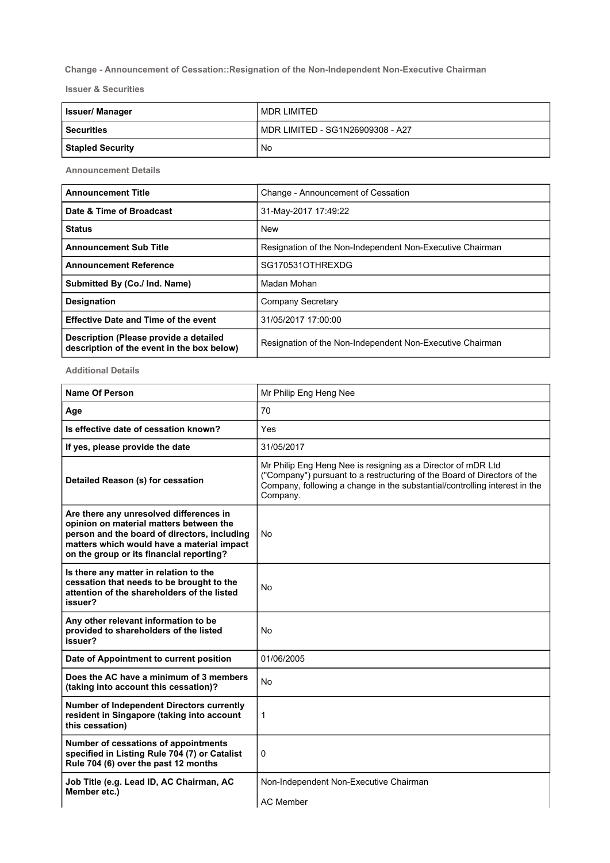## Change - Announcement of Cessation::Resignation of the Non-Independent Non-Executive Chairman

Issuer & Securities

| <b>Issuer/Manager</b>   | MDR LIMITED                      |
|-------------------------|----------------------------------|
| <b>Securities</b>       | MDR LIMITED - SG1N26909308 - A27 |
| <b>Stapled Security</b> | No                               |

Announcement Details

| <b>Announcement Title</b>                                                            | Change - Announcement of Cessation                        |
|--------------------------------------------------------------------------------------|-----------------------------------------------------------|
| Date & Time of Broadcast                                                             | 31-May-2017 17:49:22                                      |
| <b>Status</b>                                                                        | <b>New</b>                                                |
| <b>Announcement Sub Title</b>                                                        | Resignation of the Non-Independent Non-Executive Chairman |
| <b>Announcement Reference</b>                                                        | SG170531OTHREXDG                                          |
| Submitted By (Co./ Ind. Name)                                                        | Madan Mohan                                               |
| <b>Designation</b>                                                                   | Company Secretary                                         |
| <b>Effective Date and Time of the event</b>                                          | 31/05/2017 17:00:00                                       |
| Description (Please provide a detailed<br>description of the event in the box below) | Resignation of the Non-Independent Non-Executive Chairman |

Additional Details

| <b>Name Of Person</b>                                                                                                                                                                                                        | Mr Philip Eng Heng Nee                                                                                                                                                                                                             |
|------------------------------------------------------------------------------------------------------------------------------------------------------------------------------------------------------------------------------|------------------------------------------------------------------------------------------------------------------------------------------------------------------------------------------------------------------------------------|
| Age                                                                                                                                                                                                                          | 70                                                                                                                                                                                                                                 |
| Is effective date of cessation known?                                                                                                                                                                                        | Yes                                                                                                                                                                                                                                |
| If yes, please provide the date                                                                                                                                                                                              | 31/05/2017                                                                                                                                                                                                                         |
| Detailed Reason (s) for cessation                                                                                                                                                                                            | Mr Philip Eng Heng Nee is resigning as a Director of mDR Ltd<br>("Company") pursuant to a restructuring of the Board of Directors of the<br>Company, following a change in the substantial/controlling interest in the<br>Company. |
| Are there any unresolved differences in<br>opinion on material matters between the<br>person and the board of directors, including<br>matters which would have a material impact<br>on the group or its financial reporting? | <b>No</b>                                                                                                                                                                                                                          |
| Is there any matter in relation to the<br>cessation that needs to be brought to the<br>attention of the shareholders of the listed<br>issuer?                                                                                | No                                                                                                                                                                                                                                 |
| Any other relevant information to be<br>provided to shareholders of the listed<br>issuer?                                                                                                                                    | No                                                                                                                                                                                                                                 |
| Date of Appointment to current position                                                                                                                                                                                      | 01/06/2005                                                                                                                                                                                                                         |
| Does the AC have a minimum of 3 members<br>(taking into account this cessation)?                                                                                                                                             | No                                                                                                                                                                                                                                 |
| <b>Number of Independent Directors currently</b><br>resident in Singapore (taking into account<br>this cessation)                                                                                                            | 1                                                                                                                                                                                                                                  |
| Number of cessations of appointments<br>specified in Listing Rule 704 (7) or Catalist<br>Rule 704 (6) over the past 12 months                                                                                                | 0                                                                                                                                                                                                                                  |
| Job Title (e.g. Lead ID, AC Chairman, AC<br>Member etc.)                                                                                                                                                                     | Non-Independent Non-Executive Chairman<br><b>AC Member</b>                                                                                                                                                                         |